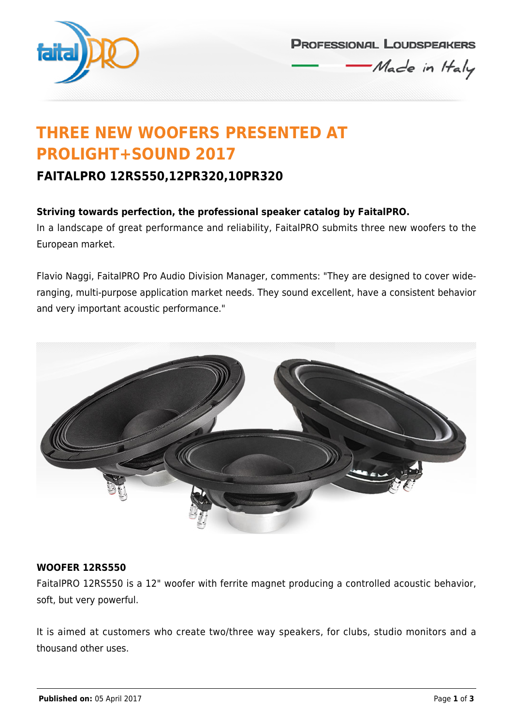

**PROFESSIONAL LOUDSPEAKERS** 

Made in Haly

# **THREE NEW WOOFERS PRESENTED AT PROLIGHT+SOUND 2017**

# **FAITALPRO 12RS550,12PR320,10PR320**

## **Striving towards perfection, the professional speaker catalog by FaitalPRO.**

In a landscape of great performance and reliability, FaitalPRO submits three new woofers to the European market.

Flavio Naggi, FaitalPRO Pro Audio Division Manager, comments: "They are designed to cover wideranging, multi-purpose application market needs. They sound excellent, have a consistent behavior and very important acoustic performance."



### **WOOFER 12RS550**

FaitalPRO 12RS550 is a 12" woofer with ferrite magnet producing a controlled acoustic behavior, soft, but very powerful.

It is aimed at customers who create two/three way speakers, for clubs, studio monitors and a thousand other uses.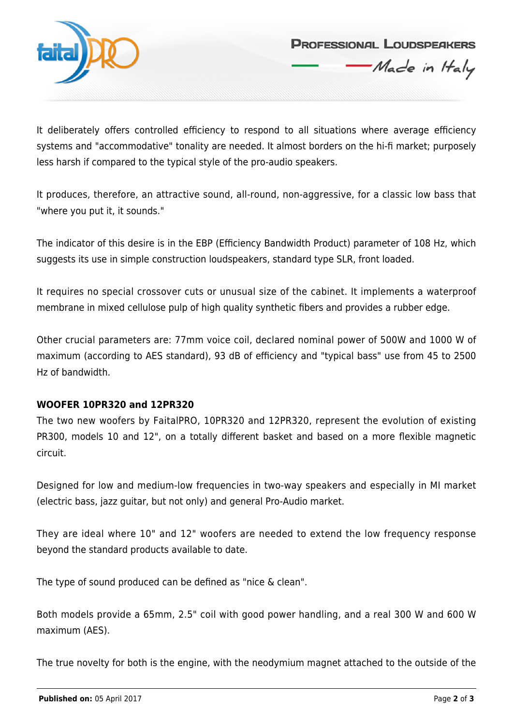

**PROFESSIONAL LOUDSPEAKERS** 

Made in Haly

It deliberately offers controlled efficiency to respond to all situations where average efficiency systems and "accommodative" tonality are needed. It almost borders on the hi-fi market; purposely less harsh if compared to the typical style of the pro-audio speakers.

It produces, therefore, an attractive sound, all-round, non-aggressive, for a classic low bass that "where you put it, it sounds."

The indicator of this desire is in the EBP (Efficiency Bandwidth Product) parameter of 108 Hz, which suggests its use in simple construction loudspeakers, standard type SLR, front loaded.

It requires no special crossover cuts or unusual size of the cabinet. It implements a waterproof membrane in mixed cellulose pulp of high quality synthetic fibers and provides a rubber edge.

Other crucial parameters are: 77mm voice coil, declared nominal power of 500W and 1000 W of maximum (according to AES standard), 93 dB of efficiency and "typical bass" use from 45 to 2500 Hz of bandwidth.

### **WOOFER 10PR320 and 12PR320**

The two new woofers by FaitalPRO, 10PR320 and 12PR320, represent the evolution of existing PR300, models 10 and 12", on a totally different basket and based on a more flexible magnetic circuit.

Designed for low and medium-low frequencies in two-way speakers and especially in MI market (electric bass, jazz guitar, but not only) and general Pro-Audio market.

They are ideal where 10" and 12" woofers are needed to extend the low frequency response beyond the standard products available to date.

The type of sound produced can be defined as "nice & clean".

Both models provide a 65mm, 2.5" coil with good power handling, and a real 300 W and 600 W maximum (AES).

The true novelty for both is the engine, with the neodymium magnet attached to the outside of the